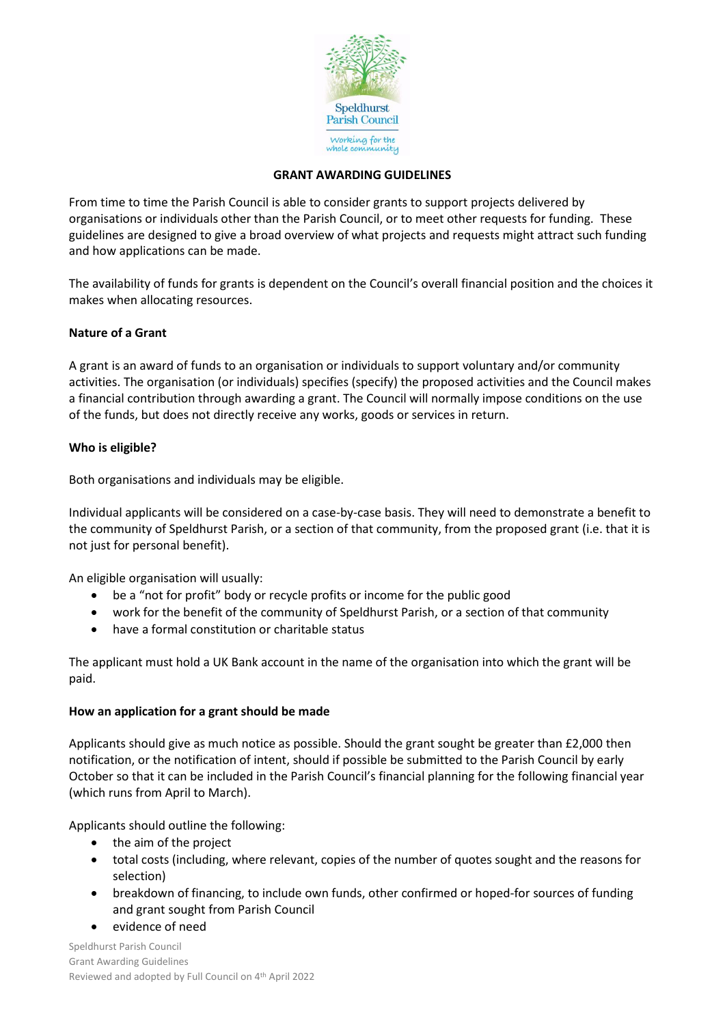

#### **GRANT AWARDING GUIDELINES**

From time to time the Parish Council is able to consider grants to support projects delivered by organisations or individuals other than the Parish Council, or to meet other requests for funding. These guidelines are designed to give a broad overview of what projects and requests might attract such funding and how applications can be made.

The availability of funds for grants is dependent on the Council's overall financial position and the choices it makes when allocating resources.

## **Nature of a Grant**

A grant is an award of funds to an organisation or individuals to support voluntary and/or community activities. The organisation (or individuals) specifies (specify) the proposed activities and the Council makes a financial contribution through awarding a grant. The Council will normally impose conditions on the use of the funds, but does not directly receive any works, goods or services in return.

## **Who is eligible?**

Both organisations and individuals may be eligible.

Individual applicants will be considered on a case-by-case basis. They will need to demonstrate a benefit to the community of Speldhurst Parish, or a section of that community, from the proposed grant (i.e. that it is not just for personal benefit).

An eligible organisation will usually:

- be a "not for profit" body or recycle profits or income for the public good
- work for the benefit of the community of Speldhurst Parish, or a section of that community
- have a formal constitution or charitable status

The applicant must hold a UK Bank account in the name of the organisation into which the grant will be paid.

#### **How an application for a grant should be made**

Applicants should give as much notice as possible. Should the grant sought be greater than £2,000 then notification, or the notification of intent, should if possible be submitted to the Parish Council by early October so that it can be included in the Parish Council's financial planning for the following financial year (which runs from April to March).

Applicants should outline the following:

- the aim of the project
- total costs (including, where relevant, copies of the number of quotes sought and the reasons for selection)
- breakdown of financing, to include own funds, other confirmed or hoped-for sources of funding and grant sought from Parish Council
- evidence of need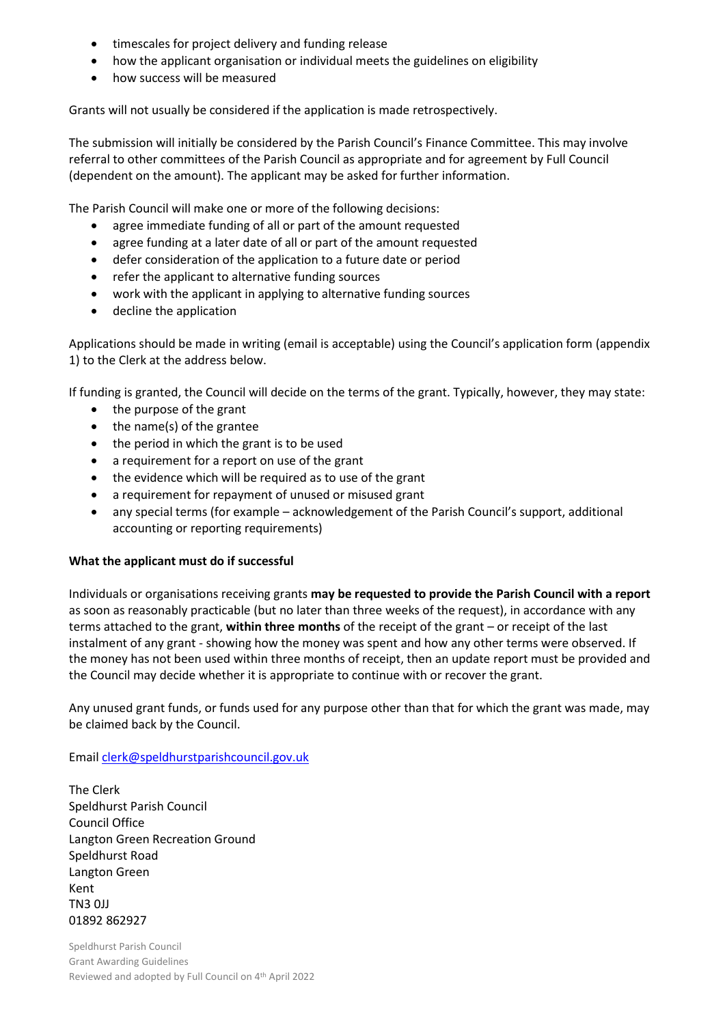- timescales for project delivery and funding release
- how the applicant organisation or individual meets the guidelines on eligibility
- how success will be measured

Grants will not usually be considered if the application is made retrospectively.

The submission will initially be considered by the Parish Council's Finance Committee. This may involve referral to other committees of the Parish Council as appropriate and for agreement by Full Council (dependent on the amount). The applicant may be asked for further information.

The Parish Council will make one or more of the following decisions:

- agree immediate funding of all or part of the amount requested
- agree funding at a later date of all or part of the amount requested
- defer consideration of the application to a future date or period
- refer the applicant to alternative funding sources
- work with the applicant in applying to alternative funding sources
- decline the application

Applications should be made in writing (email is acceptable) using the Council's application form (appendix 1) to the Clerk at the address below.

If funding is granted, the Council will decide on the terms of the grant. Typically, however, they may state:

- the purpose of the grant
- the name(s) of the grantee
- the period in which the grant is to be used
- a requirement for a report on use of the grant
- the evidence which will be required as to use of the grant
- a requirement for repayment of unused or misused grant
- any special terms (for example acknowledgement of the Parish Council's support, additional accounting or reporting requirements)

#### **What the applicant must do if successful**

Individuals or organisations receiving grants **may be requested to provide the Parish Council with a report** as soon as reasonably practicable (but no later than three weeks of the request), in accordance with any terms attached to the grant, **within three months** of the receipt of the grant – or receipt of the last instalment of any grant - showing how the money was spent and how any other terms were observed. If the money has not been used within three months of receipt, then an update report must be provided and the Council may decide whether it is appropriate to continue with or recover the grant.

Any unused grant funds, or funds used for any purpose other than that for which the grant was made, may be claimed back by the Council.

Emai[l clerk@speldhurstparishcouncil.gov.uk](mailto:clerk@speldhurstparishcouncil.gov.uk)

The Clerk Speldhurst Parish Council Council Office Langton Green Recreation Ground Speldhurst Road Langton Green Kent TN3 0JJ 01892 862927

Speldhurst Parish Council Grant Awarding Guidelines Reviewed and adopted by Full Council on 4<sup>th</sup> April 2022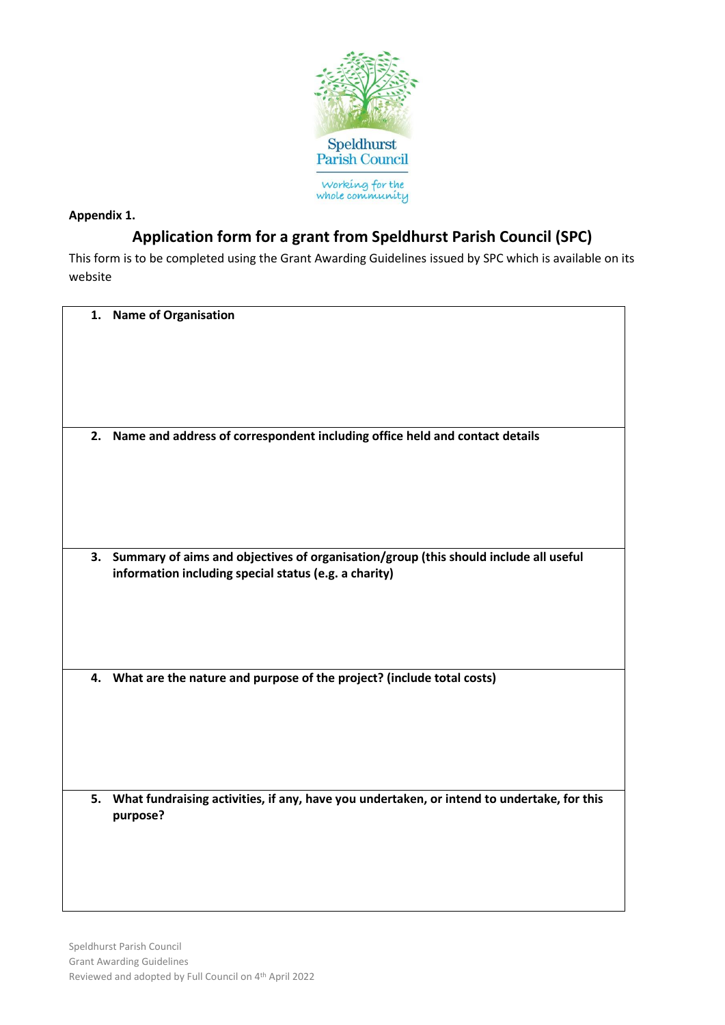

## **Appendix 1.**

# **Application form for a grant from Speldhurst Parish Council (SPC)**

This form is to be completed using the Grant Awarding Guidelines issued by SPC which is available on its website

| 1. | <b>Name of Organisation</b>                                                                                                                   |
|----|-----------------------------------------------------------------------------------------------------------------------------------------------|
| 2. | Name and address of correspondent including office held and contact details                                                                   |
| 3. | Summary of aims and objectives of organisation/group (this should include all useful<br>information including special status (e.g. a charity) |
|    | 4. What are the nature and purpose of the project? (include total costs)                                                                      |
| 5. | What fundraising activities, if any, have you undertaken, or intend to undertake, for this<br>purpose?                                        |